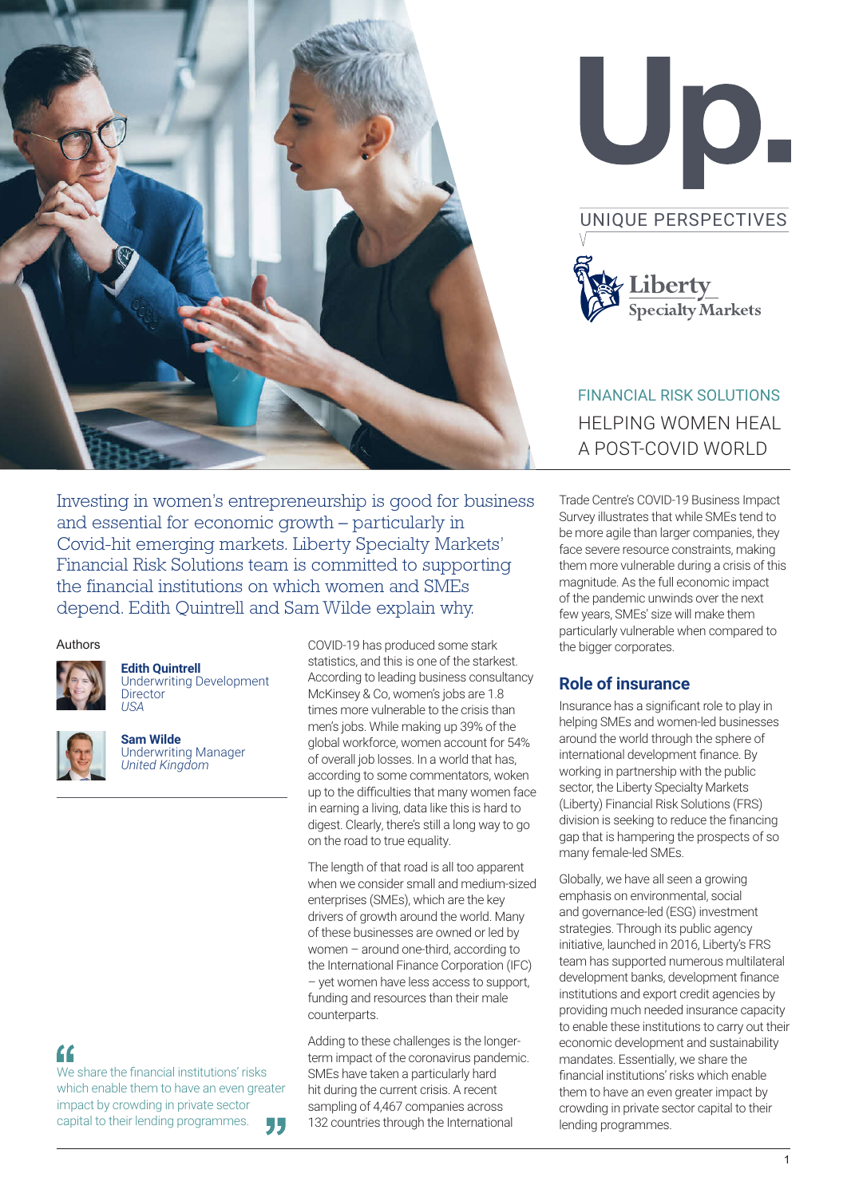



# FINANCIAL RISK SOLUTIONS HELPING WOMEN HEAL A POST-COVID WORLD

Investing in women's entrepreneurship is good for business and essential for economic growth – particularly in Covid-hit emerging markets. Liberty Specialty Markets' Financial Risk Solutions team is committed to supporting the financial institutions on which women and SMEs depend. Edith Quintrell and Sam Wilde explain why.

#### Authors



**Edith Quintrell** Underwriting Development **Director** 

*USA*

**Sam Wilde** Underwriting Manager *United Kingdom*

COVID-19 has produced some stark statistics, and this is one of the starkest. According to leading business consultancy McKinsey & Co, women's jobs are 1.8 times more vulnerable to the crisis than men's jobs. While making up 39% of the global workforce, women account for 54% of overall job losses. In a world that has, according to some commentators, woken up to the difficulties that many women face in earning a living, data like this is hard to digest. Clearly, there's still a long way to go on the road to true equality.

The length of that road is all too apparent when we consider small and medium-sized enterprises (SMEs), which are the key drivers of growth around the world. Many of these businesses are owned or led by women – around one-third, according to the International Finance Corporation (IFC) – yet women have less access to support, funding and resources than their male counterparts.

Adding to these challenges is the longerterm impact of the coronavirus pandemic. SMEs have taken a particularly hard hit during the current crisis. A recent sampling of 4,467 companies across 132 countries through the International

Trade Centre's COVID-19 Business Impact Survey illustrates that while SMEs tend to be more agile than larger companies, they face severe resource constraints, making them more vulnerable during a crisis of this magnitude. As the full economic impact of the pandemic unwinds over the next few years, SMEs' size will make them particularly vulnerable when compared to the bigger corporates.

#### **Role of insurance**

Insurance has a significant role to play in helping SMEs and women-led businesses around the world through the sphere of international development finance. By working in partnership with the public sector, the Liberty Specialty Markets (Liberty) Financial Risk Solutions (FRS) division is seeking to reduce the financing gap that is hampering the prospects of so many female-led SMEs.

Globally, we have all seen a growing emphasis on environmental, social and governance-led (ESG) investment strategies. Through its public agency initiative, launched in 2016, Liberty's FRS team has supported numerous multilateral development banks, development finance institutions and export credit agencies by providing much needed insurance capacity to enable these institutions to carry out their economic development and sustainability mandates. Essentially, we share the financial institutions' risks which enable them to have an even greater impact by crowding in private sector capital to their lending programmes.

# $\epsilon$

We share the financial institutions' risks which enable them to have an even greater impact by crowding in private sector capital to their lending programmes. "